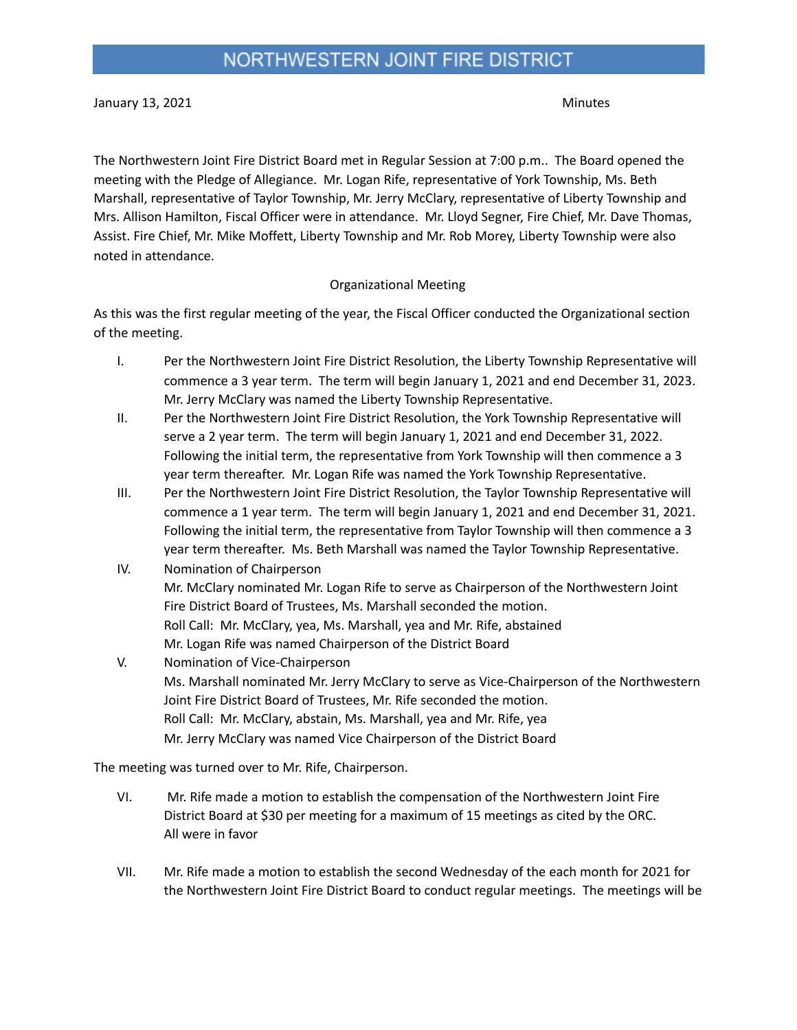January 13, 2021 Minutes

The Northwestern Joint Fire District Board met in Regular Session at 7:00 p.m.. The Board opened the meeting with the Pledge of Allegiance. Mr. Logan Rife, representative of York Township, Ms. Beth Marshall, representative of Taylor Township, Mr. Jerry McClary, representative of Liberty Township and Mrs. Allison Hamilton, Fiscal Officer were in attendance. Mr. Lloyd Segner, Fire Chief, Mr. Dave Thomas, Assist. Fire Chief, Mr. Mike Moffett, Liberty Township and Mr. Rob Morey, Liberty Township were also noted in attendance.

#### Organizational Meeting

As this was the first regular meeting of the year, the Fiscal Officer conducted the Organizational section of the meeting.

- I. Per the Northwestern Joint Fire District Resolution, the Liberty Township Representative will commence a 3 year term. The term will begin January 1, 2021 and end December 31, 2023. Mr. Jerry McClary was named the Liberty Township Representative.
- II. Per the Northwestern Joint Fire District Resolution, the York Township Representative will serve a 2 year term. The term will begin January 1, 2021 and end December 31, 2022. Following the initial term, the representative from York Township will then commence a 3 year term thereafter. Mr. Logan Rife was named the York Township Representative.
- III. Per the Northwestern Joint Fire District Resolution, the Taylor Township Representative will commence a 1 year term. The term will begin January 1, 2021 and end December 31, 2021. Following the initial term, the representative from Taylor Township will then commence a 3 year term thereafter. Ms. Beth Marshall was named the Taylor Township Representative.
- IV. Nomination of Chairperson Mr. McClary nominated Mr. Logan Rife to serve as Chairperson of the Northwestern Joint Fire District Board of Trustees, Ms. Marshall seconded the motion. Roll Call: Mr. McClary, yea, Ms. Marshall, yea and Mr. Rife, abstained Mr. Logan Rife was named Chairperson of the District Board
- V. Nomination of Vice-Chairperson Ms. Marshall nominated Mr. Jerry McClary to serve as Vice-Chairperson of the Northwestern Joint Fire District Board of Trustees, Mr. Rife seconded the motion. Roll Call: Mr. McClary, abstain, Ms. Marshall, yea and Mr. Rife, yea Mr. Jerry McClary was named Vice Chairperson of the District Board

The meeting was turned over to Mr. Rife, Chairperson.

- VI. Mr. Rife made a motion to establish the compensation of the Northwestern Joint Fire District Board at \$30 per meeting for a maximum of 15 meetings as cited by the ORC. All were in favor
- VII. Mr. Rife made a motion to establish the second Wednesday of the each month for 2021 for the Northwestern Joint Fire District Board to conduct regular meetings. The meetings will be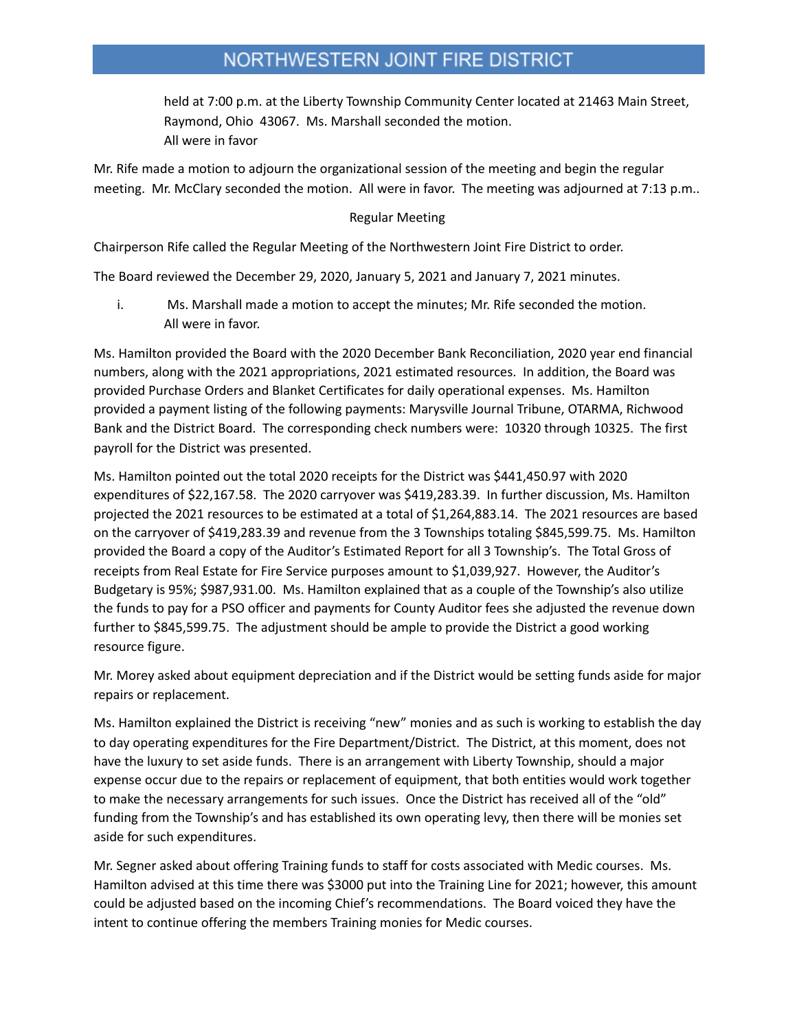# NORTHWESTERN JOINT FIRE DISTRICT

held at 7:00 p.m. at the Liberty Township Community Center located at 21463 Main Street, Raymond, Ohio 43067. Ms. Marshall seconded the motion. All were in favor

Mr. Rife made a motion to adjourn the organizational session of the meeting and begin the regular meeting. Mr. McClary seconded the motion. All were in favor. The meeting was adjourned at 7:13 p.m..

#### Regular Meeting

Chairperson Rife called the Regular Meeting of the Northwestern Joint Fire District to order.

The Board reviewed the December 29, 2020, January 5, 2021 and January 7, 2021 minutes.

i. Ms. Marshall made a motion to accept the minutes; Mr. Rife seconded the motion. All were in favor.

Ms. Hamilton provided the Board with the 2020 December Bank Reconciliation, 2020 year end financial numbers, along with the 2021 appropriations, 2021 estimated resources. In addition, the Board was provided Purchase Orders and Blanket Certificates for daily operational expenses. Ms. Hamilton provided a payment listing of the following payments: Marysville Journal Tribune, OTARMA, Richwood Bank and the District Board. The corresponding check numbers were: 10320 through 10325. The first payroll for the District was presented.

Ms. Hamilton pointed out the total 2020 receipts for the District was \$441,450.97 with 2020 expenditures of \$22,167.58. The 2020 carryover was \$419,283.39. In further discussion, Ms. Hamilton projected the 2021 resources to be estimated at a total of \$1,264,883.14. The 2021 resources are based on the carryover of \$419,283.39 and revenue from the 3 Townships totaling \$845,599.75. Ms. Hamilton provided the Board a copy of the Auditor's Estimated Report for all 3 Township's. The Total Gross of receipts from Real Estate for Fire Service purposes amount to \$1,039,927. However, the Auditor's Budgetary is 95%; \$987,931.00. Ms. Hamilton explained that as a couple of the Township's also utilize the funds to pay for a PSO officer and payments for County Auditor fees she adjusted the revenue down further to \$845,599.75. The adjustment should be ample to provide the District a good working resource figure.

Mr. Morey asked about equipment depreciation and if the District would be setting funds aside for major repairs or replacement.

Ms. Hamilton explained the District is receiving "new" monies and as such is working to establish the day to day operating expenditures for the Fire Department/District. The District, at this moment, does not have the luxury to set aside funds. There is an arrangement with Liberty Township, should a major expense occur due to the repairs or replacement of equipment, that both entities would work together to make the necessary arrangements for such issues. Once the District has received all of the "old" funding from the Township's and has established its own operating levy, then there will be monies set aside for such expenditures.

Mr. Segner asked about offering Training funds to staff for costs associated with Medic courses. Ms. Hamilton advised at this time there was \$3000 put into the Training Line for 2021; however, this amount could be adjusted based on the incoming Chief's recommendations. The Board voiced they have the intent to continue offering the members Training monies for Medic courses.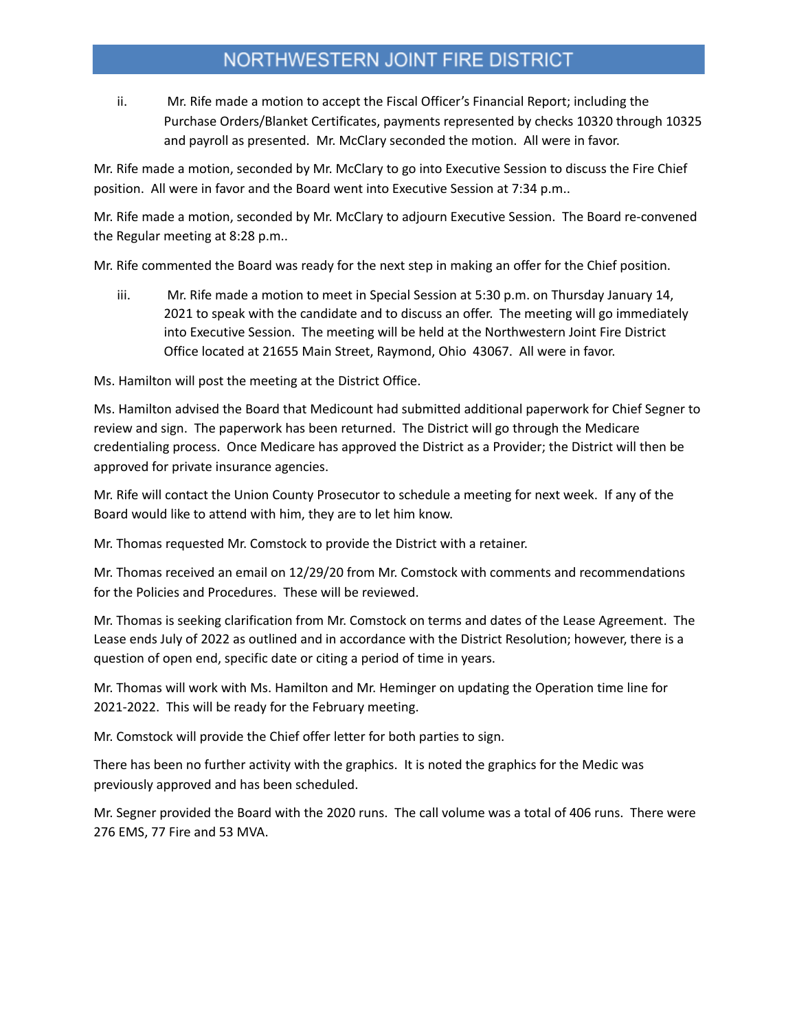# NORTHWESTERN JOINT FIRE DISTRICT

ii. Mr. Rife made a motion to accept the Fiscal Officer's Financial Report; including the Purchase Orders/Blanket Certificates, payments represented by checks 10320 through 10325 and payroll as presented. Mr. McClary seconded the motion. All were in favor.

Mr. Rife made a motion, seconded by Mr. McClary to go into Executive Session to discuss the Fire Chief position. All were in favor and the Board went into Executive Session at 7:34 p.m..

Mr. Rife made a motion, seconded by Mr. McClary to adjourn Executive Session. The Board re-convened the Regular meeting at 8:28 p.m..

Mr. Rife commented the Board was ready for the next step in making an offer for the Chief position.

iii. Mr. Rife made a motion to meet in Special Session at 5:30 p.m. on Thursday January 14, 2021 to speak with the candidate and to discuss an offer. The meeting will go immediately into Executive Session. The meeting will be held at the Northwestern Joint Fire District Office located at 21655 Main Street, Raymond, Ohio 43067. All were in favor.

Ms. Hamilton will post the meeting at the District Office.

Ms. Hamilton advised the Board that Medicount had submitted additional paperwork for Chief Segner to review and sign. The paperwork has been returned. The District will go through the Medicare credentialing process. Once Medicare has approved the District as a Provider; the District will then be approved for private insurance agencies.

Mr. Rife will contact the Union County Prosecutor to schedule a meeting for next week. If any of the Board would like to attend with him, they are to let him know.

Mr. Thomas requested Mr. Comstock to provide the District with a retainer.

Mr. Thomas received an email on 12/29/20 from Mr. Comstock with comments and recommendations for the Policies and Procedures. These will be reviewed.

Mr. Thomas is seeking clarification from Mr. Comstock on terms and dates of the Lease Agreement. The Lease ends July of 2022 as outlined and in accordance with the District Resolution; however, there is a question of open end, specific date or citing a period of time in years.

Mr. Thomas will work with Ms. Hamilton and Mr. Heminger on updating the Operation time line for 2021-2022. This will be ready for the February meeting.

Mr. Comstock will provide the Chief offer letter for both parties to sign.

There has been no further activity with the graphics. It is noted the graphics for the Medic was previously approved and has been scheduled.

Mr. Segner provided the Board with the 2020 runs. The call volume was a total of 406 runs. There were 276 EMS, 77 Fire and 53 MVA.